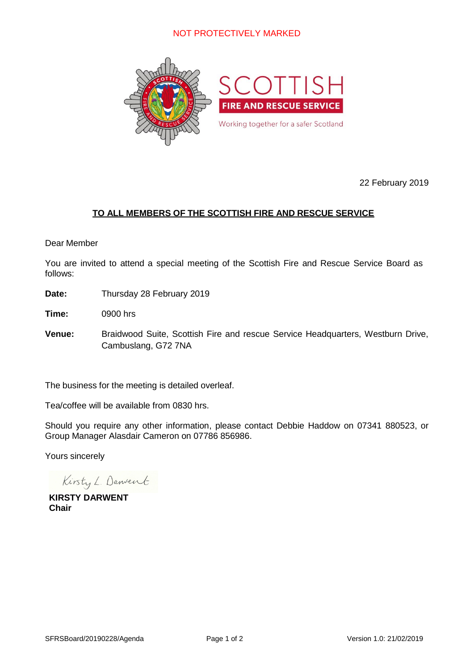

22 February 2019

## **TO ALL MEMBERS OF THE SCOTTISH FIRE AND RESCUE SERVICE**

#### Dear Member

You are invited to attend a special meeting of the Scottish Fire and Rescue Service Board as follows:

**Date:** Thursday 28 February 2019

**Time:** 0900 hrs

**Venue:** Braidwood Suite, Scottish Fire and rescue Service Headquarters, Westburn Drive, Cambuslang, G72 7NA

The business for the meeting is detailed overleaf.

Tea/coffee will be available from 0830 hrs.

Should you require any other information, please contact Debbie Haddow on 07341 880523, or Group Manager Alasdair Cameron on 07786 856986.

Yours sincerely

Kirsty L. Danvent

**KIRSTY DARWENT Chair**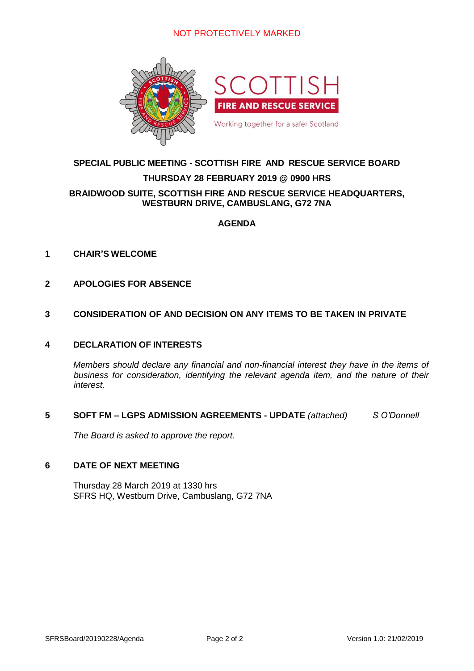

## **SPECIAL PUBLIC MEETING - SCOTTISH FIRE AND RESCUE SERVICE BOARD**

#### **THURSDAY 28 FEBRUARY 2019 @ 0900 HRS**

#### **BRAIDWOOD SUITE, SCOTTISH FIRE AND RESCUE SERVICE HEADQUARTERS, WESTBURN DRIVE, CAMBUSLANG, G72 7NA**

#### **AGENDA**

#### **1 CHAIR'S WELCOME**

**2 APOLOGIES FOR ABSENCE**

#### **3 CONSIDERATION OF AND DECISION ON ANY ITEMS TO BE TAKEN IN PRIVATE**

#### **4 DECLARATION OF INTERESTS**

*Members should declare any financial and non-financial interest they have in the items of business for consideration, identifying the relevant agenda item, and the nature of their interest.*

#### **5 SOFT FM – LGPS ADMISSION AGREEMENTS - UPDATE** *(attached) S O'Donnell*

*The Board is asked to approve the report.*

#### **6 DATE OF NEXT MEETING**

Thursday 28 March 2019 at 1330 hrs SFRS HQ, Westburn Drive, Cambuslang, G72 7NA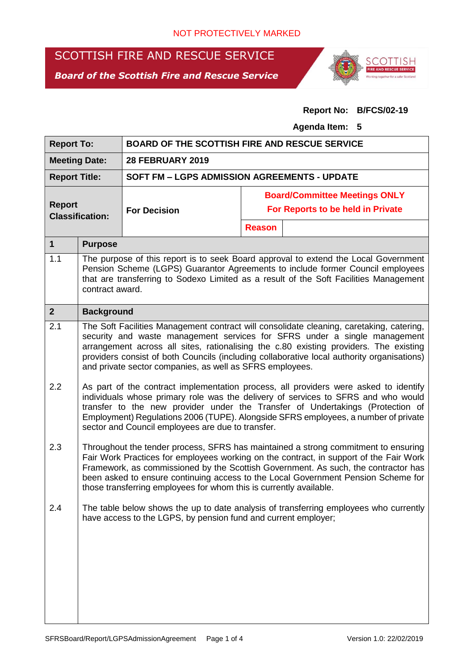# SCOTTISH FIRE AND RESCUE SERVICE

*Board of the Scottish Fire and Rescue Service*



### **Report No: B/FCS/02-19**

#### **Agenda Item: 5**

| <b>Report To:</b>                       |                                                                                                                                                                                                                                                                                                                                                                                                                               | <b>BOARD OF THE SCOTTISH FIRE AND RESCUE SERVICE</b> |                                      |                                   |  |  |  |
|-----------------------------------------|-------------------------------------------------------------------------------------------------------------------------------------------------------------------------------------------------------------------------------------------------------------------------------------------------------------------------------------------------------------------------------------------------------------------------------|------------------------------------------------------|--------------------------------------|-----------------------------------|--|--|--|
| <b>Meeting Date:</b>                    |                                                                                                                                                                                                                                                                                                                                                                                                                               | <b>28 FEBRUARY 2019</b>                              |                                      |                                   |  |  |  |
| <b>Report Title:</b>                    |                                                                                                                                                                                                                                                                                                                                                                                                                               | <b>SOFT FM - LGPS ADMISSION AGREEMENTS - UPDATE</b>  |                                      |                                   |  |  |  |
|                                         |                                                                                                                                                                                                                                                                                                                                                                                                                               |                                                      | <b>Board/Committee Meetings ONLY</b> |                                   |  |  |  |
| <b>Report</b><br><b>Classification:</b> |                                                                                                                                                                                                                                                                                                                                                                                                                               | <b>For Decision</b>                                  |                                      | For Reports to be held in Private |  |  |  |
|                                         |                                                                                                                                                                                                                                                                                                                                                                                                                               |                                                      | <b>Reason</b>                        |                                   |  |  |  |
| $\mathbf{1}$                            | <b>Purpose</b>                                                                                                                                                                                                                                                                                                                                                                                                                |                                                      |                                      |                                   |  |  |  |
| 1.1                                     | The purpose of this report is to seek Board approval to extend the Local Government<br>Pension Scheme (LGPS) Guarantor Agreements to include former Council employees<br>that are transferring to Sodexo Limited as a result of the Soft Facilities Management<br>contract award.                                                                                                                                             |                                                      |                                      |                                   |  |  |  |
| $\overline{2}$                          | <b>Background</b>                                                                                                                                                                                                                                                                                                                                                                                                             |                                                      |                                      |                                   |  |  |  |
| 2.1                                     | The Soft Facilities Management contract will consolidate cleaning, caretaking, catering,<br>security and waste management services for SFRS under a single management<br>arrangement across all sites, rationalising the c.80 existing providers. The existing<br>providers consist of both Councils (including collaborative local authority organisations)<br>and private sector companies, as well as SFRS employees.      |                                                      |                                      |                                   |  |  |  |
| 2.2                                     | As part of the contract implementation process, all providers were asked to identify<br>individuals whose primary role was the delivery of services to SFRS and who would<br>transfer to the new provider under the Transfer of Undertakings (Protection of<br>Employment) Regulations 2006 (TUPE). Alongside SFRS employees, a number of private<br>sector and Council employees are due to transfer.                        |                                                      |                                      |                                   |  |  |  |
| 2.3                                     | Throughout the tender process, SFRS has maintained a strong commitment to ensuring<br>Fair Work Practices for employees working on the contract, in support of the Fair Work<br>Framework, as commissioned by the Scottish Government. As such, the contractor has<br>been asked to ensure continuing access to the Local Government Pension Scheme for<br>those transferring employees for whom this is currently available. |                                                      |                                      |                                   |  |  |  |
| 2.4                                     | The table below shows the up to date analysis of transferring employees who currently<br>have access to the LGPS, by pension fund and current employer;                                                                                                                                                                                                                                                                       |                                                      |                                      |                                   |  |  |  |
|                                         |                                                                                                                                                                                                                                                                                                                                                                                                                               |                                                      |                                      |                                   |  |  |  |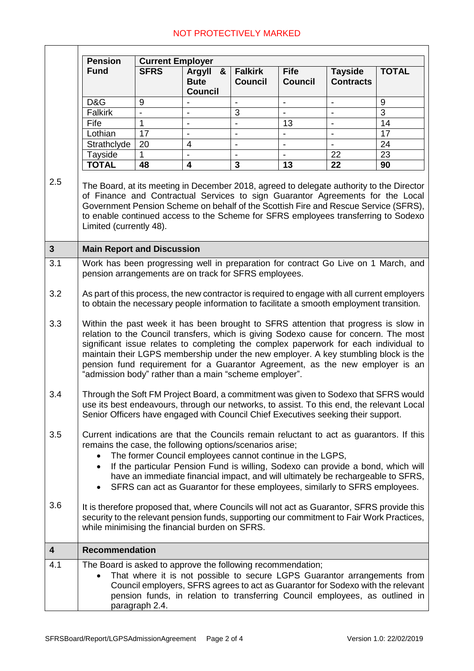|                         | <b>Pension</b><br><b>Current Employer</b>                                                                                                                                                                                                                                                                                                                                                                                                                                                              |             |                                              |                                  |                               |                                    |                  |
|-------------------------|--------------------------------------------------------------------------------------------------------------------------------------------------------------------------------------------------------------------------------------------------------------------------------------------------------------------------------------------------------------------------------------------------------------------------------------------------------------------------------------------------------|-------------|----------------------------------------------|----------------------------------|-------------------------------|------------------------------------|------------------|
|                         | <b>Fund</b>                                                                                                                                                                                                                                                                                                                                                                                                                                                                                            | <b>SFRS</b> | &<br>Argyll<br><b>Bute</b><br><b>Council</b> | <b>Falkirk</b><br><b>Council</b> | <b>Fife</b><br><b>Council</b> | <b>Tayside</b><br><b>Contracts</b> | <b>TOTAL</b>     |
|                         | D&G                                                                                                                                                                                                                                                                                                                                                                                                                                                                                                    | 9           |                                              | $\qquad \qquad \blacksquare$     | $\overline{\phantom{a}}$      | $\qquad \qquad \blacksquare$       | $\boldsymbol{9}$ |
|                         | <b>Falkirk</b>                                                                                                                                                                                                                                                                                                                                                                                                                                                                                         |             | $\blacksquare$                               | 3                                |                               | $\qquad \qquad \blacksquare$       | 3                |
|                         | Fife                                                                                                                                                                                                                                                                                                                                                                                                                                                                                                   | 1           | $\qquad \qquad \blacksquare$                 |                                  | 13                            | $\overline{\phantom{0}}$           | 14               |
|                         | Lothian                                                                                                                                                                                                                                                                                                                                                                                                                                                                                                | 17          |                                              |                                  |                               |                                    | 17               |
|                         | Strathclyde                                                                                                                                                                                                                                                                                                                                                                                                                                                                                            | 20          | $\overline{\mathbf{4}}$                      | $\overline{\phantom{0}}$         | $\overline{\phantom{a}}$      |                                    | 24               |
|                         | Tayside                                                                                                                                                                                                                                                                                                                                                                                                                                                                                                | 1           | $\overline{\phantom{0}}$                     | $\qquad \qquad \blacksquare$     |                               | 22                                 | 23               |
|                         | <b>TOTAL</b>                                                                                                                                                                                                                                                                                                                                                                                                                                                                                           | 48          | 4                                            | 3                                | 13                            | 22                                 | 90               |
| 2.5                     | The Board, at its meeting in December 2018, agreed to delegate authority to the Director<br>of Finance and Contractual Services to sign Guarantor Agreements for the Local<br>Government Pension Scheme on behalf of the Scottish Fire and Rescue Service (SFRS),<br>to enable continued access to the Scheme for SFRS employees transferring to Sodexo<br>Limited (currently 48).                                                                                                                     |             |                                              |                                  |                               |                                    |                  |
| $\overline{\mathbf{3}}$ | <b>Main Report and Discussion</b>                                                                                                                                                                                                                                                                                                                                                                                                                                                                      |             |                                              |                                  |                               |                                    |                  |
| 3.1                     | Work has been progressing well in preparation for contract Go Live on 1 March, and<br>pension arrangements are on track for SFRS employees.                                                                                                                                                                                                                                                                                                                                                            |             |                                              |                                  |                               |                                    |                  |
| 3.2                     | As part of this process, the new contractor is required to engage with all current employers<br>to obtain the necessary people information to facilitate a smooth employment transition.                                                                                                                                                                                                                                                                                                               |             |                                              |                                  |                               |                                    |                  |
| 3.3                     | Within the past week it has been brought to SFRS attention that progress is slow in<br>relation to the Council transfers, which is giving Sodexo cause for concern. The most<br>significant issue relates to completing the complex paperwork for each individual to<br>maintain their LGPS membership under the new employer. A key stumbling block is the<br>pension fund requirement for a Guarantor Agreement, as the new employer is an<br>"admission body" rather than a main "scheme employer". |             |                                              |                                  |                               |                                    |                  |
| 3.4                     | Through the Soft FM Project Board, a commitment was given to Sodexo that SFRS would<br>use its best endeavours, through our networks, to assist. To this end, the relevant Local<br>Senior Officers have engaged with Council Chief Executives seeking their support.                                                                                                                                                                                                                                  |             |                                              |                                  |                               |                                    |                  |
| 3.5                     | Current indications are that the Councils remain reluctant to act as guarantors. If this<br>remains the case, the following options/scenarios arise;<br>The former Council employees cannot continue in the LGPS,<br>If the particular Pension Fund is willing, Sodexo can provide a bond, which will<br>$\bullet$<br>have an immediate financial impact, and will ultimately be rechargeable to SFRS,<br>SFRS can act as Guarantor for these employees, similarly to SFRS employees.                  |             |                                              |                                  |                               |                                    |                  |
| 3.6                     | It is therefore proposed that, where Councils will not act as Guarantor, SFRS provide this<br>security to the relevant pension funds, supporting our commitment to Fair Work Practices,<br>while minimising the financial burden on SFRS.                                                                                                                                                                                                                                                              |             |                                              |                                  |                               |                                    |                  |
| $\boldsymbol{4}$        | <b>Recommendation</b>                                                                                                                                                                                                                                                                                                                                                                                                                                                                                  |             |                                              |                                  |                               |                                    |                  |
| 4.1                     | The Board is asked to approve the following recommendation;<br>That where it is not possible to secure LGPS Guarantor arrangements from<br>Council employers, SFRS agrees to act as Guarantor for Sodexo with the relevant<br>pension funds, in relation to transferring Council employees, as outlined in<br>paragraph 2.4.                                                                                                                                                                           |             |                                              |                                  |                               |                                    |                  |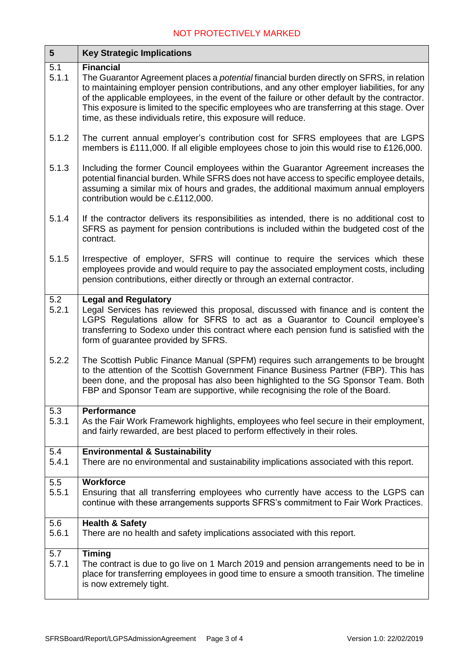| $5\phantom{1}$ | <b>Key Strategic Implications</b>                                                                                                                                                                                                                                                                                                                                                                                                                                                  |
|----------------|------------------------------------------------------------------------------------------------------------------------------------------------------------------------------------------------------------------------------------------------------------------------------------------------------------------------------------------------------------------------------------------------------------------------------------------------------------------------------------|
| 5.1<br>5.1.1   | <b>Financial</b><br>The Guarantor Agreement places a <i>potential</i> financial burden directly on SFRS, in relation<br>to maintaining employer pension contributions, and any other employer liabilities, for any<br>of the applicable employees, in the event of the failure or other default by the contractor.<br>This exposure is limited to the specific employees who are transferring at this stage. Over<br>time, as these individuals retire, this exposure will reduce. |
| 5.1.2          | The current annual employer's contribution cost for SFRS employees that are LGPS<br>members is £111,000. If all eligible employees chose to join this would rise to £126,000.                                                                                                                                                                                                                                                                                                      |
| 5.1.3          | Including the former Council employees within the Guarantor Agreement increases the<br>potential financial burden. While SFRS does not have access to specific employee details,<br>assuming a similar mix of hours and grades, the additional maximum annual employers<br>contribution would be c.£112,000.                                                                                                                                                                       |
| 5.1.4          | If the contractor delivers its responsibilities as intended, there is no additional cost to<br>SFRS as payment for pension contributions is included within the budgeted cost of the<br>contract.                                                                                                                                                                                                                                                                                  |
| 5.1.5          | Irrespective of employer, SFRS will continue to require the services which these<br>employees provide and would require to pay the associated employment costs, including<br>pension contributions, either directly or through an external contractor.                                                                                                                                                                                                                             |
| 5.2<br>5.2.1   | <b>Legal and Regulatory</b><br>Legal Services has reviewed this proposal, discussed with finance and is content the<br>LGPS Regulations allow for SFRS to act as a Guarantor to Council employee's<br>transferring to Sodexo under this contract where each pension fund is satisfied with the<br>form of guarantee provided by SFRS.                                                                                                                                              |
| 5.2.2          | The Scottish Public Finance Manual (SPFM) requires such arrangements to be brought<br>to the attention of the Scottish Government Finance Business Partner (FBP). This has<br>been done, and the proposal has also been highlighted to the SG Sponsor Team. Both<br>FBP and Sponsor Team are supportive, while recognising the role of the Board.                                                                                                                                  |
| 5.3<br>5.3.1   | <b>Performance</b><br>As the Fair Work Framework highlights, employees who feel secure in their employment,<br>and fairly rewarded, are best placed to perform effectively in their roles.                                                                                                                                                                                                                                                                                         |
| 5.4<br>5.4.1   | <b>Environmental &amp; Sustainability</b><br>There are no environmental and sustainability implications associated with this report.                                                                                                                                                                                                                                                                                                                                               |
| 5.5<br>5.5.1   | <b>Workforce</b><br>Ensuring that all transferring employees who currently have access to the LGPS can<br>continue with these arrangements supports SFRS's commitment to Fair Work Practices.                                                                                                                                                                                                                                                                                      |
| 5.6<br>5.6.1   | <b>Health &amp; Safety</b><br>There are no health and safety implications associated with this report.                                                                                                                                                                                                                                                                                                                                                                             |
| 5.7<br>5.7.1   | <b>Timing</b><br>The contract is due to go live on 1 March 2019 and pension arrangements need to be in<br>place for transferring employees in good time to ensure a smooth transition. The timeline<br>is now extremely tight.                                                                                                                                                                                                                                                     |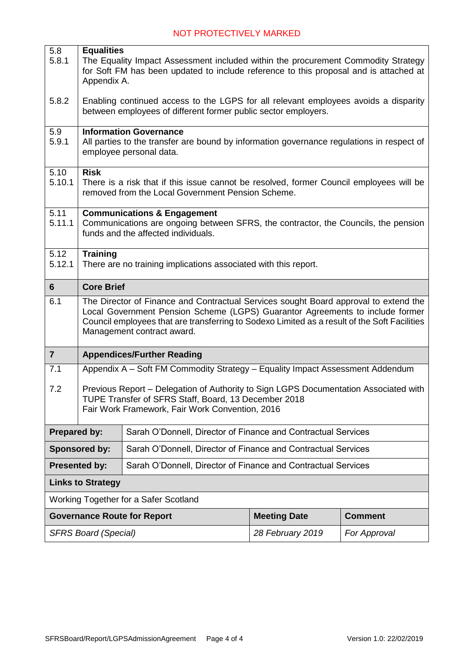| 5.8                                                                                   | <b>Equalities</b>                                                                                                                                                                                                                                                                                   |                                                                                                                                                                                           |                                                               |                |  |  |
|---------------------------------------------------------------------------------------|-----------------------------------------------------------------------------------------------------------------------------------------------------------------------------------------------------------------------------------------------------------------------------------------------------|-------------------------------------------------------------------------------------------------------------------------------------------------------------------------------------------|---------------------------------------------------------------|----------------|--|--|
| 5.8.1                                                                                 |                                                                                                                                                                                                                                                                                                     | The Equality Impact Assessment included within the procurement Commodity Strategy<br>for Soft FM has been updated to include reference to this proposal and is attached at<br>Appendix A. |                                                               |                |  |  |
| 5.8.2                                                                                 |                                                                                                                                                                                                                                                                                                     | Enabling continued access to the LGPS for all relevant employees avoids a disparity<br>between employees of different former public sector employers.                                     |                                                               |                |  |  |
| 5.9<br>5.9.1                                                                          |                                                                                                                                                                                                                                                                                                     | <b>Information Governance</b><br>All parties to the transfer are bound by information governance regulations in respect of<br>employee personal data.                                     |                                                               |                |  |  |
| $\overline{5.10}$<br>5.10.1                                                           | <b>Risk</b><br>There is a risk that if this issue cannot be resolved, former Council employees will be<br>removed from the Local Government Pension Scheme.                                                                                                                                         |                                                                                                                                                                                           |                                                               |                |  |  |
| 5.11<br>5.11.1                                                                        | <b>Communications &amp; Engagement</b><br>Communications are ongoing between SFRS, the contractor, the Councils, the pension<br>funds and the affected individuals.                                                                                                                                 |                                                                                                                                                                                           |                                                               |                |  |  |
| 5.12<br>5.12.1                                                                        | <b>Training</b><br>There are no training implications associated with this report.                                                                                                                                                                                                                  |                                                                                                                                                                                           |                                                               |                |  |  |
| $6\phantom{1}$                                                                        | <b>Core Brief</b>                                                                                                                                                                                                                                                                                   |                                                                                                                                                                                           |                                                               |                |  |  |
| 6.1                                                                                   | The Director of Finance and Contractual Services sought Board approval to extend the<br>Local Government Pension Scheme (LGPS) Guarantor Agreements to include former<br>Council employees that are transferring to Sodexo Limited as a result of the Soft Facilities<br>Management contract award. |                                                                                                                                                                                           |                                                               |                |  |  |
| $\overline{7}$                                                                        | <b>Appendices/Further Reading</b>                                                                                                                                                                                                                                                                   |                                                                                                                                                                                           |                                                               |                |  |  |
| 7.1                                                                                   | Appendix A - Soft FM Commodity Strategy - Equality Impact Assessment Addendum                                                                                                                                                                                                                       |                                                                                                                                                                                           |                                                               |                |  |  |
| 7.2                                                                                   | Previous Report - Delegation of Authority to Sign LGPS Documentation Associated with<br>TUPE Transfer of SFRS Staff, Board, 13 December 2018<br>Fair Work Framework, Fair Work Convention, 2016                                                                                                     |                                                                                                                                                                                           |                                                               |                |  |  |
| <b>Prepared by:</b>                                                                   |                                                                                                                                                                                                                                                                                                     |                                                                                                                                                                                           | Sarah O'Donnell, Director of Finance and Contractual Services |                |  |  |
| Sponsored by:                                                                         |                                                                                                                                                                                                                                                                                                     | Sarah O'Donnell, Director of Finance and Contractual Services                                                                                                                             |                                                               |                |  |  |
| <b>Presented by:</b><br>Sarah O'Donnell, Director of Finance and Contractual Services |                                                                                                                                                                                                                                                                                                     |                                                                                                                                                                                           |                                                               |                |  |  |
| <b>Links to Strategy</b>                                                              |                                                                                                                                                                                                                                                                                                     |                                                                                                                                                                                           |                                                               |                |  |  |
| Working Together for a Safer Scotland                                                 |                                                                                                                                                                                                                                                                                                     |                                                                                                                                                                                           |                                                               |                |  |  |
|                                                                                       |                                                                                                                                                                                                                                                                                                     | <b>Governance Route for Report</b>                                                                                                                                                        | <b>Meeting Date</b>                                           | <b>Comment</b> |  |  |
| <b>SFRS Board (Special)</b>                                                           |                                                                                                                                                                                                                                                                                                     |                                                                                                                                                                                           | 28 February 2019                                              | For Approval   |  |  |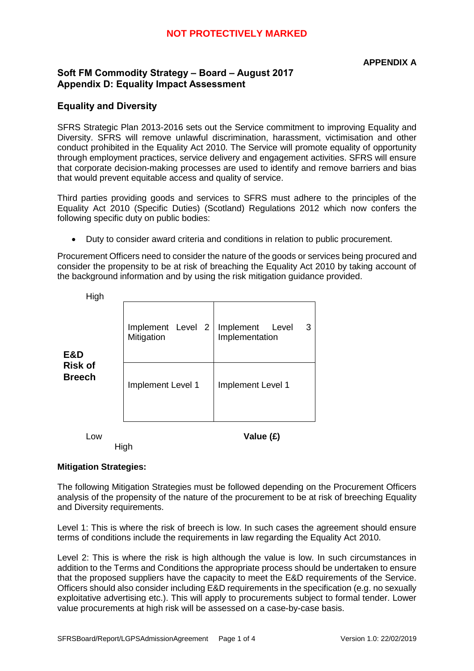#### **APPENDIX A**

#### **Soft FM Commodity Strategy – Board – August 2017 Appendix D: Equality Impact Assessment**

#### **Equality and Diversity**

SFRS Strategic Plan 2013-2016 sets out the Service commitment to improving Equality and Diversity. SFRS will remove unlawful discrimination, harassment, victimisation and other conduct prohibited in the Equality Act 2010. The Service will promote equality of opportunity through employment practices, service delivery and engagement activities. SFRS will ensure that corporate decision-making processes are used to identify and remove barriers and bias that would prevent equitable access and quality of service.

Third parties providing goods and services to SFRS must adhere to the principles of the Equality Act 2010 (Specific Duties) (Scotland) Regulations 2012 which now confers the following specific duty on public bodies:

Duty to consider award criteria and conditions in relation to public procurement.

Procurement Officers need to consider the nature of the goods or services being procured and consider the propensity to be at risk of breaching the Equality Act 2010 by taking account of the background information and by using the risk mitigation guidance provided.

| LOW                             |                                 | Value (£)                                 |  |  |
|---------------------------------|---------------------------------|-------------------------------------------|--|--|
| <b>Risk of</b><br><b>Breech</b> | Implement Level 1               | Implement Level 1                         |  |  |
| E&D                             | Implement Level 2<br>Mitigation | Implement<br>Level<br>3<br>Implementation |  |  |
| High                            |                                 |                                           |  |  |

High

#### **Mitigation Strategies:**

The following Mitigation Strategies must be followed depending on the Procurement Officers analysis of the propensity of the nature of the procurement to be at risk of breeching Equality and Diversity requirements.

Level 1: This is where the risk of breech is low. In such cases the agreement should ensure terms of conditions include the requirements in law regarding the Equality Act 2010.

Level 2: This is where the risk is high although the value is low. In such circumstances in addition to the Terms and Conditions the appropriate process should be undertaken to ensure that the proposed suppliers have the capacity to meet the E&D requirements of the Service. Officers should also consider including E&D requirements in the specification (e.g. no sexually exploitative advertising etc.). This will apply to procurements subject to formal tender. Lower value procurements at high risk will be assessed on a case-by-case basis.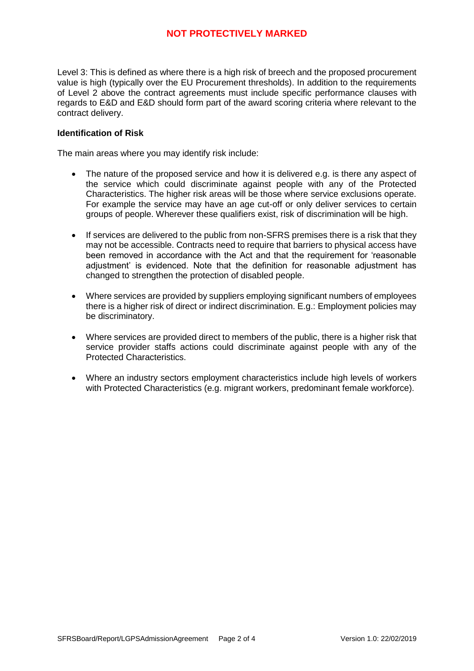Level 3: This is defined as where there is a high risk of breech and the proposed procurement value is high (typically over the EU Procurement thresholds). In addition to the requirements of Level 2 above the contract agreements must include specific performance clauses with regards to E&D and E&D should form part of the award scoring criteria where relevant to the contract delivery.

#### **Identification of Risk**

The main areas where you may identify risk include:

- The nature of the proposed service and how it is delivered e.g. is there any aspect of the service which could discriminate against people with any of the Protected Characteristics. The higher risk areas will be those where service exclusions operate. For example the service may have an age cut-off or only deliver services to certain groups of people. Wherever these qualifiers exist, risk of discrimination will be high.
- If services are delivered to the public from non-SFRS premises there is a risk that they may not be accessible. Contracts need to require that barriers to physical access have been removed in accordance with the Act and that the requirement for 'reasonable adjustment' is evidenced. Note that the definition for reasonable adjustment has changed to strengthen the protection of disabled people.
- Where services are provided by suppliers employing significant numbers of employees there is a higher risk of direct or indirect discrimination. E.g.: Employment policies may be discriminatory.
- Where services are provided direct to members of the public, there is a higher risk that service provider staffs actions could discriminate against people with any of the Protected Characteristics.
- Where an industry sectors employment characteristics include high levels of workers with Protected Characteristics (e.g. migrant workers, predominant female workforce).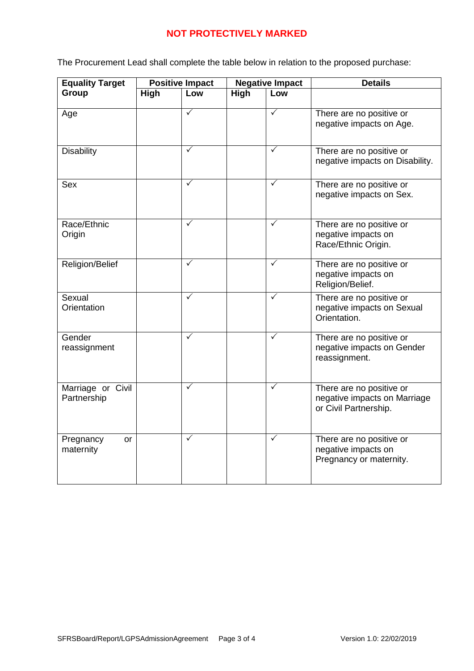The Procurement Lead shall complete the table below in relation to the proposed purchase:

| <b>Equality Target</b>           | <b>Positive Impact</b> |              | <b>Negative Impact</b> |              | <b>Details</b>                                                                    |  |
|----------------------------------|------------------------|--------------|------------------------|--------------|-----------------------------------------------------------------------------------|--|
| Group                            | High                   | Low          | <b>High</b>            | Low          |                                                                                   |  |
| Age                              |                        | $\checkmark$ |                        | $\checkmark$ | There are no positive or<br>negative impacts on Age.                              |  |
| <b>Disability</b>                |                        | $\checkmark$ |                        | $\checkmark$ | There are no positive or<br>negative impacts on Disability.                       |  |
| Sex                              |                        | ✓            |                        | $\checkmark$ | There are no positive or<br>negative impacts on Sex.                              |  |
| Race/Ethnic<br>Origin            |                        | $\checkmark$ |                        | ✓            | There are no positive or<br>negative impacts on<br>Race/Ethnic Origin.            |  |
| Religion/Belief                  |                        | $\checkmark$ |                        | $\checkmark$ | There are no positive or<br>negative impacts on<br>Religion/Belief.               |  |
| Sexual<br>Orientation            |                        | $\checkmark$ |                        | $\checkmark$ | There are no positive or<br>negative impacts on Sexual<br>Orientation.            |  |
| Gender<br>reassignment           |                        | $\checkmark$ |                        | $\checkmark$ | There are no positive or<br>negative impacts on Gender<br>reassignment.           |  |
| Marriage or Civil<br>Partnership |                        | $\checkmark$ |                        | $\checkmark$ | There are no positive or<br>negative impacts on Marriage<br>or Civil Partnership. |  |
| Pregnancy<br>or<br>maternity     |                        | ✓            |                        | $\checkmark$ | There are no positive or<br>negative impacts on<br>Pregnancy or maternity.        |  |